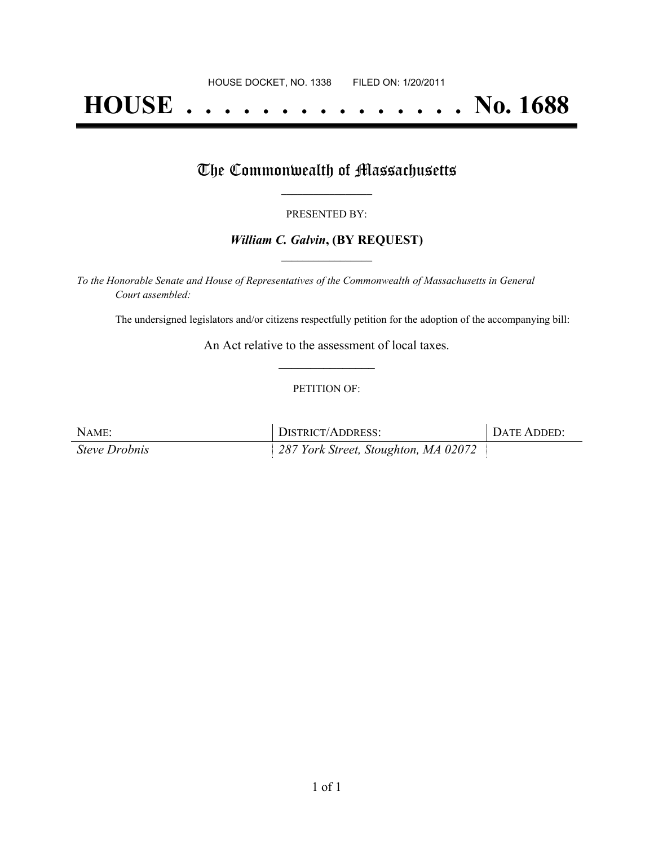# **HOUSE . . . . . . . . . . . . . . . No. 1688**

## The Commonwealth of Massachusetts

#### PRESENTED BY:

#### *William C. Galvin***, (BY REQUEST) \_\_\_\_\_\_\_\_\_\_\_\_\_\_\_\_\_**

*To the Honorable Senate and House of Representatives of the Commonwealth of Massachusetts in General Court assembled:*

The undersigned legislators and/or citizens respectfully petition for the adoption of the accompanying bill:

An Act relative to the assessment of local taxes. **\_\_\_\_\_\_\_\_\_\_\_\_\_\_\_**

#### PETITION OF:

| NAME:                | DISTRICT/ADDRESS:                    | DATE ADDED: |
|----------------------|--------------------------------------|-------------|
| <b>Steve Drobnis</b> | 287 York Street, Stoughton, MA 02072 |             |